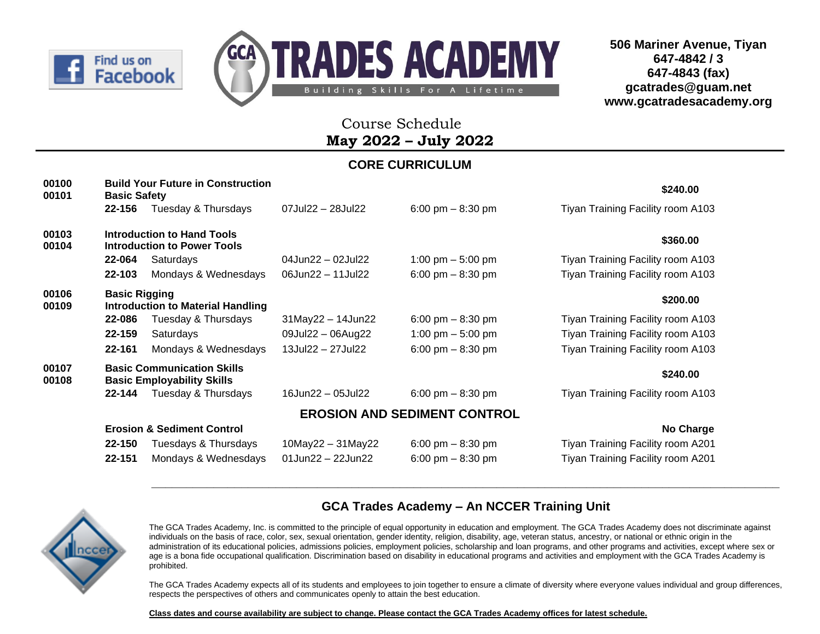



## Course Schedule **May 2022 – July 2022**

### **CORE CURRICULUM**

| 00100<br>00101 | <b>Basic Safety</b>  | <b>Build Your Future in Construction</b>                                |                             |                                     | \$240.00                          |
|----------------|----------------------|-------------------------------------------------------------------------|-----------------------------|-------------------------------------|-----------------------------------|
|                | 22-156               | Tuesday & Thursdays                                                     | 07Jul22 - 28Jul22           | 6:00 pm $-$ 8:30 pm                 | Tiyan Training Facility room A103 |
| 00103<br>00104 |                      | <b>Introduction to Hand Tools</b><br><b>Introduction to Power Tools</b> |                             |                                     | \$360.00                          |
|                | 22-064               | Saturdays                                                               | 04Jun22 - 02Jul22           | 1:00 pm $-$ 5:00 pm                 | Tiyan Training Facility room A103 |
|                | 22-103               | Mondays & Wednesdays                                                    | 06Jun22 - 11Jul22           | 6:00 pm $-$ 8:30 pm                 | Tiyan Training Facility room A103 |
| 00106<br>00109 | <b>Basic Rigging</b> | <b>Introduction to Material Handling</b>                                |                             |                                     | \$200.00                          |
|                | 22-086               | Tuesday & Thursdays                                                     | 31May22 - 14Jun22           | 6:00 pm $-8:30$ pm                  | Tiyan Training Facility room A103 |
|                | 22-159               | Saturdays                                                               | 09Jul22 - 06Aug22           | 1:00 pm $-$ 5:00 pm                 | Tiyan Training Facility room A103 |
|                | 22-161               | Mondays & Wednesdays                                                    | 13Jul22 - 27Jul22           | 6:00 pm $-$ 8:30 pm                 | Tiyan Training Facility room A103 |
| 00107<br>00108 |                      | <b>Basic Communication Skills</b><br><b>Basic Employability Skills</b>  |                             |                                     | \$240.00                          |
|                | 22-144               | Tuesday & Thursdays                                                     | 16Jun22 - 05Jul22           | 6:00 pm $-$ 8:30 pm                 | Tiyan Training Facility room A103 |
|                |                      |                                                                         |                             | <b>EROSION AND SEDIMENT CONTROL</b> |                                   |
|                |                      | <b>Erosion &amp; Sediment Control</b>                                   |                             |                                     | No Charge                         |
|                | 22-150               | Tuesdays & Thursdays                                                    | $10$ May22 - $31$ May22     | 6:00 pm $-$ 8:30 pm                 | Tiyan Training Facility room A201 |
|                | 22-151               | Mondays & Wednesdays                                                    | $01$ Jun $22 - 22$ Jun $22$ | 6:00 pm $-$ 8:30 pm                 | Tiyan Training Facility room A201 |



#### **GCA Trades Academy – An NCCER Training Unit**

**\_\_\_\_\_\_\_\_\_\_\_\_\_\_\_\_\_\_\_\_\_\_\_\_\_\_\_\_\_\_\_\_\_\_\_\_\_\_\_\_\_\_\_\_\_\_\_\_\_\_\_\_\_\_\_\_\_\_\_\_\_\_\_\_\_\_\_\_\_\_\_\_\_\_\_\_\_\_\_\_\_\_\_\_\_\_\_\_\_\_\_**

The GCA Trades Academy, Inc. is committed to the principle of equal opportunity in education and employment. The GCA Trades Academy does not discriminate against individuals on the basis of race, color, sex, sexual orientation, gender identity, religion, disability, age, veteran status, ancestry, or national or ethnic origin in the administration of its educational policies, admissions policies, employment policies, scholarship and loan programs, and other programs and activities, except where sex or age is a bona fide occupational qualification. Discrimination based on disability in educational programs and activities and employment with the GCA Trades Academy is prohibited.

The GCA Trades Academy expects all of its students and employees to join together to ensure a climate of diversity where everyone values individual and group differences, respects the perspectives of others and communicates openly to attain the best education.

**Class dates and course availability are subject to change. Please contact the GCA Trades Academy offices for latest schedule.**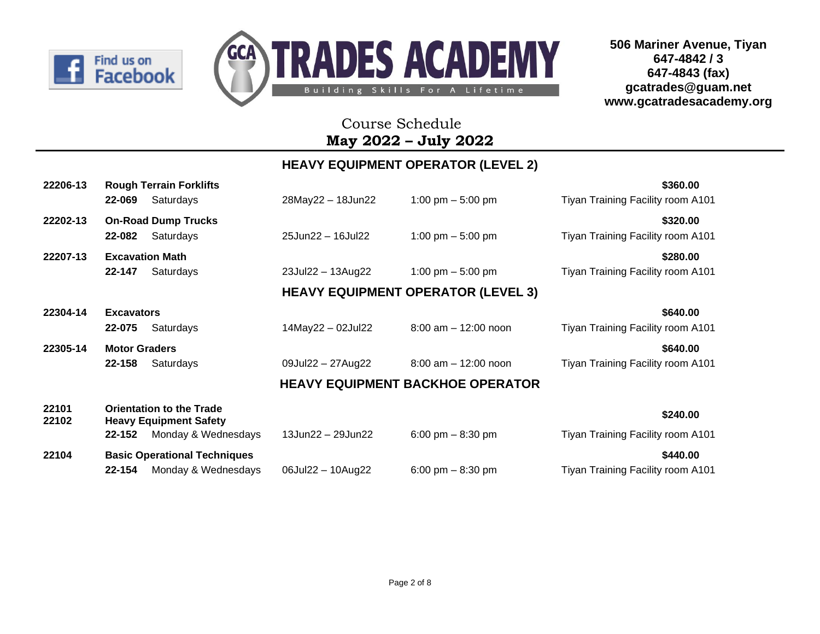



## Course Schedule **May 2022 – July 2022**

### **HEAVY EQUIPMENT OPERATOR (LEVEL 2)**

| 22206-13       | <b>Rough Terrain Forklifts</b>                                   |                   |                                           | \$360.00                          |
|----------------|------------------------------------------------------------------|-------------------|-------------------------------------------|-----------------------------------|
|                | 22-069<br>Saturdays                                              | 28May22 - 18Jun22 | 1:00 pm $-$ 5:00 pm                       | Tiyan Training Facility room A101 |
| 22202-13       | <b>On-Road Dump Trucks</b>                                       |                   |                                           | \$320.00                          |
|                | 22-082<br>Saturdays                                              | 25Jun22 - 16Jul22 | 1:00 pm $-$ 5:00 pm                       | Tiyan Training Facility room A101 |
| 22207-13       | <b>Excavation Math</b>                                           |                   |                                           | \$280.00                          |
|                | 22-147<br>Saturdays                                              | 23Jul22 - 13Aug22 | 1:00 pm $-$ 5:00 pm                       | Tiyan Training Facility room A101 |
|                |                                                                  |                   | <b>HEAVY EQUIPMENT OPERATOR (LEVEL 3)</b> |                                   |
| 22304-14       | <b>Excavators</b>                                                |                   |                                           | \$640.00                          |
|                | 22-075<br>Saturdays                                              | 14May22 - 02Jul22 | $8:00$ am $-12:00$ noon                   | Tiyan Training Facility room A101 |
| 22305-14       | <b>Motor Graders</b>                                             |                   |                                           | \$640.00                          |
|                | 22-158<br>Saturdays                                              | 09Jul22 - 27Aug22 | $8:00$ am $-12:00$ noon                   | Tiyan Training Facility room A101 |
|                |                                                                  |                   | <b>HEAVY EQUIPMENT BACKHOE OPERATOR</b>   |                                   |
| 22101<br>22102 | <b>Orientation to the Trade</b><br><b>Heavy Equipment Safety</b> |                   |                                           | \$240.00                          |
|                | Monday & Wednesdays<br>22-152                                    | 13Jun22 - 29Jun22 | 6:00 pm $-$ 8:30 pm                       | Tiyan Training Facility room A101 |
| 22104          | <b>Basic Operational Techniques</b>                              |                   |                                           | \$440.00                          |
|                | 22-154<br>Monday & Wednesdays                                    | 06Jul22 - 10Aug22 | 6:00 pm $-$ 8:30 pm                       | Tiyan Training Facility room A101 |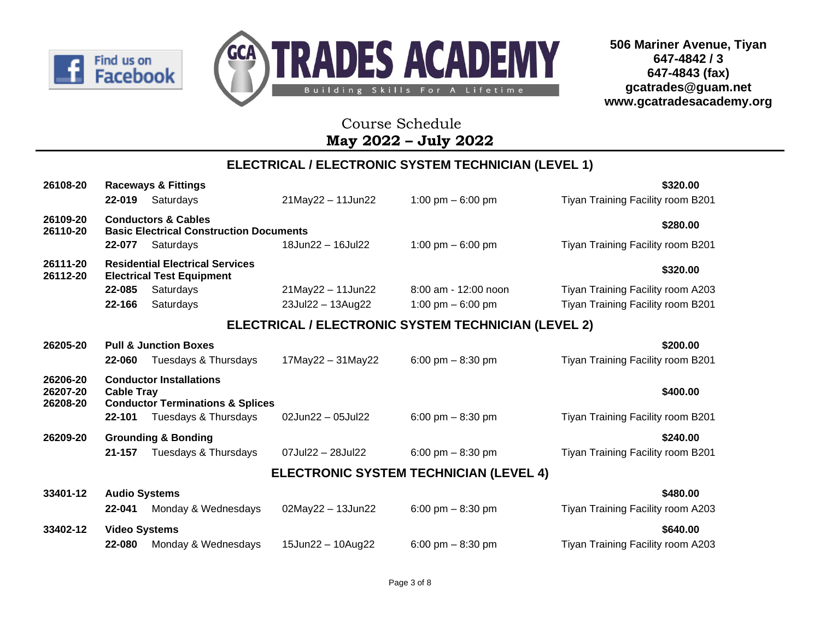



## Course Schedule **May 2022 – July 2022**

### **ELECTRICAL / ELECTRONIC SYSTEM TECHNICIAN (LEVEL 1)**

| 26108-20                         |                                 | <b>Raceways &amp; Fittings</b>                                                                        |                         |                                                     | \$320.00                                      |
|----------------------------------|---------------------------------|-------------------------------------------------------------------------------------------------------|-------------------------|-----------------------------------------------------|-----------------------------------------------|
|                                  | 22-019                          | Saturdays                                                                                             | 21May22 - 11Jun22       | 1:00 pm $-6:00$ pm                                  | Tiyan Training Facility room B201             |
| 26109-20<br>26110-20             |                                 | <b>Conductors &amp; Cables</b><br><b>Basic Electrical Construction Documents</b>                      |                         |                                                     | \$280.00                                      |
|                                  | 22-077                          | Saturdays                                                                                             | 18Jun22 - 16Jul22       | 1:00 pm $-6:00$ pm                                  | Tiyan Training Facility room B201             |
| 26111-20<br>26112-20             |                                 | <b>Residential Electrical Services</b><br><b>Electrical Test Equipment</b>                            |                         |                                                     | \$320.00                                      |
|                                  | 22-085                          | Saturdays                                                                                             | 21May22 - 11Jun22       | 8:00 am - 12:00 noon                                | Tiyan Training Facility room A203             |
|                                  | 22-166                          | Saturdays                                                                                             | 23Jul22 - 13Aug22       | 1:00 pm $-6:00$ pm                                  | Tiyan Training Facility room B201             |
|                                  |                                 |                                                                                                       |                         | ELECTRICAL / ELECTRONIC SYSTEM TECHNICIAN (LEVEL 2) |                                               |
| 26205-20                         |                                 | <b>Pull &amp; Junction Boxes</b>                                                                      |                         |                                                     | \$200.00                                      |
|                                  | 22-060                          | Tuesdays & Thursdays                                                                                  | $17$ May22 - $31$ May22 | 6:00 pm $-$ 8:30 pm                                 | Tiyan Training Facility room B201             |
| 26206-20<br>26207-20<br>26208-20 | <b>Cable Tray</b><br>$22 - 101$ | <b>Conductor Installations</b><br><b>Conductor Terminations &amp; Splices</b><br>Tuesdays & Thursdays | 02Jun22 - 05Jul22       | 6:00 pm $-$ 8:30 pm                                 | \$400.00<br>Tiyan Training Facility room B201 |
| 26209-20                         |                                 | <b>Grounding &amp; Bonding</b>                                                                        |                         |                                                     | \$240.00                                      |
|                                  | 21-157                          | Tuesdays & Thursdays                                                                                  | 07Jul22 - 28Jul22       | 6:00 pm $-$ 8:30 pm                                 | Tiyan Training Facility room B201             |
|                                  |                                 |                                                                                                       |                         | <b>ELECTRONIC SYSTEM TECHNICIAN (LEVEL 4)</b>       |                                               |
| 33401-12                         | <b>Audio Systems</b>            |                                                                                                       |                         |                                                     | \$480.00                                      |
|                                  | 22-041                          | Monday & Wednesdays                                                                                   | $02$ May22 - 13Jun22    | 6:00 pm $-$ 8:30 pm                                 | Tiyan Training Facility room A203             |
| 33402-12                         | <b>Video Systems</b>            |                                                                                                       |                         |                                                     | \$640.00                                      |
|                                  | 22-080                          | Monday & Wednesdays                                                                                   | 15Jun22 - 10Aug22       | 6:00 pm $-$ 8:30 pm                                 | Tiyan Training Facility room A203             |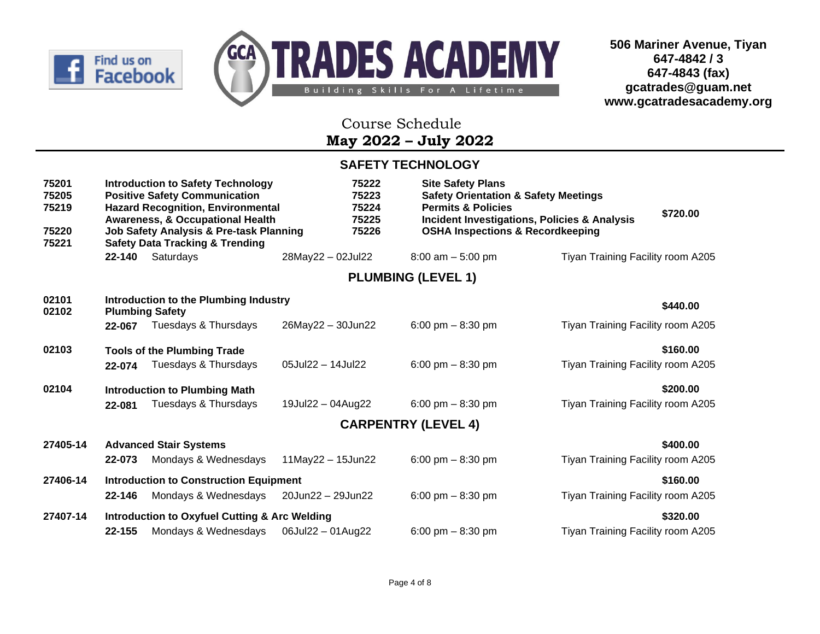



## Course Schedule **May 2022 – July 2022**

#### **SAFETY TECHNOLOGY**

| 75201<br>75205<br>75219<br>75220<br>75221 |            | <b>Introduction to Safety Technology</b><br><b>Positive Safety Communication</b><br><b>Hazard Recognition, Environmental</b><br><b>Awareness, &amp; Occupational Health</b><br>Job Safety Analysis & Pre-task Planning<br><b>Safety Data Tracking &amp; Trending</b> |                         | 75222<br>75223<br>75224<br>75225<br>75226 | <b>Site Safety Plans</b><br><b>Safety Orientation &amp; Safety Meetings</b><br><b>Permits &amp; Policies</b><br><b>OSHA Inspections &amp; Recordkeeping</b> | <b>Incident Investigations, Policies &amp; Analysis</b> | \$720.00 |
|-------------------------------------------|------------|----------------------------------------------------------------------------------------------------------------------------------------------------------------------------------------------------------------------------------------------------------------------|-------------------------|-------------------------------------------|-------------------------------------------------------------------------------------------------------------------------------------------------------------|---------------------------------------------------------|----------|
|                                           | 22-140     | Saturdays                                                                                                                                                                                                                                                            | 28May22 - 02Jul22       |                                           | $8:00$ am $-5:00$ pm                                                                                                                                        | Tiyan Training Facility room A205                       |          |
|                                           |            |                                                                                                                                                                                                                                                                      |                         | <b>PLUMBING (LEVEL 1)</b>                 |                                                                                                                                                             |                                                         |          |
| 02101<br>02102                            |            | Introduction to the Plumbing Industry<br><b>Plumbing Safety</b>                                                                                                                                                                                                      |                         |                                           |                                                                                                                                                             |                                                         | \$440.00 |
|                                           | 22-067     | Tuesdays & Thursdays                                                                                                                                                                                                                                                 | 26May22 - 30Jun22       |                                           | 6:00 pm $-$ 8:30 pm                                                                                                                                         | Tiyan Training Facility room A205                       |          |
| 02103                                     |            | <b>Tools of the Plumbing Trade</b>                                                                                                                                                                                                                                   |                         |                                           |                                                                                                                                                             |                                                         | \$160.00 |
|                                           | 22-074     | Tuesdays & Thursdays                                                                                                                                                                                                                                                 | 05Jul22 - 14Jul22       |                                           | 6:00 pm $-$ 8:30 pm                                                                                                                                         | Tiyan Training Facility room A205                       |          |
| 02104                                     |            | <b>Introduction to Plumbing Math</b>                                                                                                                                                                                                                                 |                         |                                           |                                                                                                                                                             |                                                         | \$200.00 |
|                                           | 22-081     | Tuesdays & Thursdays                                                                                                                                                                                                                                                 | 19Jul22 - 04Aug22       |                                           | 6:00 pm $-$ 8:30 pm                                                                                                                                         | Tiyan Training Facility room A205                       |          |
|                                           |            |                                                                                                                                                                                                                                                                      |                         |                                           | <b>CARPENTRY (LEVEL 4)</b>                                                                                                                                  |                                                         |          |
| 27405-14                                  |            | <b>Advanced Stair Systems</b>                                                                                                                                                                                                                                        |                         |                                           |                                                                                                                                                             |                                                         | \$400.00 |
|                                           | 22-073     | Mondays & Wednesdays                                                                                                                                                                                                                                                 | $11$ May22 - $15$ Jun22 |                                           | 6:00 pm $-$ 8:30 pm                                                                                                                                         | Tiyan Training Facility room A205                       |          |
| 27406-14                                  |            | <b>Introduction to Construction Equipment</b>                                                                                                                                                                                                                        |                         |                                           |                                                                                                                                                             |                                                         | \$160.00 |
|                                           | 22-146     | Mondays & Wednesdays                                                                                                                                                                                                                                                 | 20Jun22 - 29Jun22       |                                           | 6:00 pm $-$ 8:30 pm                                                                                                                                         | Tiyan Training Facility room A205                       |          |
| 27407-14                                  |            | <b>Introduction to Oxyfuel Cutting &amp; Arc Welding</b>                                                                                                                                                                                                             |                         |                                           |                                                                                                                                                             |                                                         | \$320.00 |
|                                           | $22 - 155$ | Mondays & Wednesdays                                                                                                                                                                                                                                                 | 06Jul22 - 01Aug22       |                                           | 6:00 pm $-$ 8:30 pm                                                                                                                                         | Tiyan Training Facility room A205                       |          |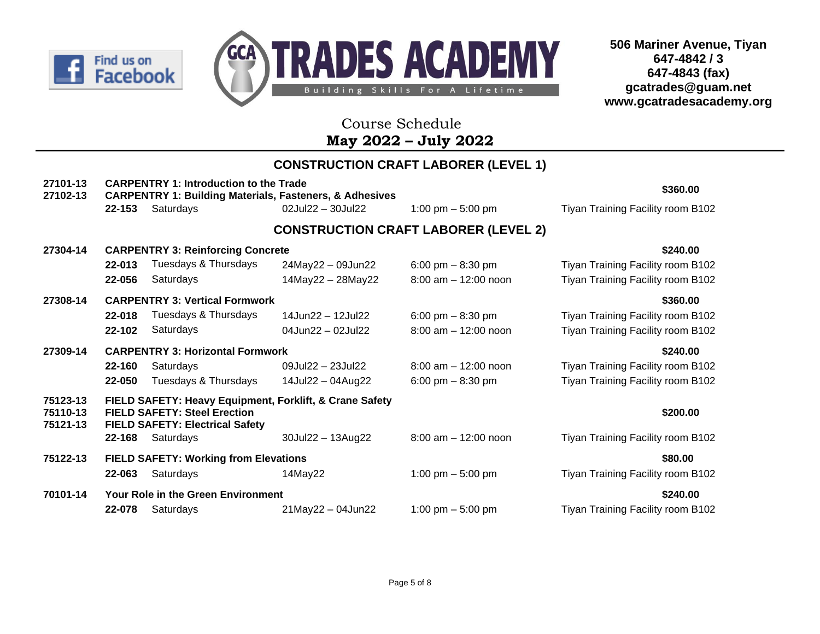



## Course Schedule **May 2022 – July 2022**

# **CONSTRUCTION CRAFT LABORER (LEVEL 1)**

| 27101-13<br>27102-13             |        | <b>CARPENTRY 1: Introduction to the Trade</b><br><b>CARPENTRY 1: Building Materials, Fasteners, &amp; Adhesives</b>                      | \$360.00             |                                             |                                   |
|----------------------------------|--------|------------------------------------------------------------------------------------------------------------------------------------------|----------------------|---------------------------------------------|-----------------------------------|
|                                  | 22-153 | Saturdays                                                                                                                                | 02Jul22 - 30Jul22    | 1:00 pm $-$ 5:00 pm                         | Tiyan Training Facility room B102 |
|                                  |        |                                                                                                                                          |                      | <b>CONSTRUCTION CRAFT LABORER (LEVEL 2)</b> |                                   |
| 27304-14                         |        | <b>CARPENTRY 3: Reinforcing Concrete</b>                                                                                                 |                      |                                             | \$240.00                          |
|                                  | 22-013 | Tuesdays & Thursdays                                                                                                                     | 24May22 - 09Jun22    | 6:00 pm $-$ 8:30 pm                         | Tiyan Training Facility room B102 |
|                                  | 22-056 | Saturdays                                                                                                                                | 14May22 - 28May22    | $8:00$ am $-12:00$ noon                     | Tiyan Training Facility room B102 |
| 27308-14                         |        | <b>CARPENTRY 3: Vertical Formwork</b>                                                                                                    |                      |                                             | \$360.00                          |
|                                  | 22-018 | Tuesdays & Thursdays                                                                                                                     | 14Jun22 - 12Jul22    | 6:00 pm $-$ 8:30 pm                         | Tiyan Training Facility room B102 |
|                                  | 22-102 | Saturdays                                                                                                                                | 04Jun22 - 02Jul22    | $8:00$ am $-12:00$ noon                     | Tiyan Training Facility room B102 |
| 27309-14                         |        | <b>CARPENTRY 3: Horizontal Formwork</b>                                                                                                  |                      |                                             | \$240.00                          |
|                                  | 22-160 | Saturdays                                                                                                                                | 09Jul22 - 23Jul22    | $8:00$ am $-12:00$ noon                     | Tiyan Training Facility room B102 |
|                                  | 22-050 | Tuesdays & Thursdays                                                                                                                     | 14Jul22 - 04Aug22    | 6:00 pm $-$ 8:30 pm                         | Tiyan Training Facility room B102 |
| 75123-13<br>75110-13<br>75121-13 |        | FIELD SAFETY: Heavy Equipment, Forklift, & Crane Safety<br><b>FIELD SAFETY: Steel Erection</b><br><b>FIELD SAFETY: Electrical Safety</b> |                      |                                             | \$200.00                          |
|                                  | 22-168 | Saturdays                                                                                                                                | 30Jul22 - 13Aug22    | $8:00$ am $-12:00$ noon                     | Tiyan Training Facility room B102 |
| 75122-13                         |        | <b>FIELD SAFETY: Working from Elevations</b>                                                                                             |                      |                                             | \$80.00                           |
|                                  | 22-063 | Saturdays                                                                                                                                | 14May22              | 1:00 pm $-$ 5:00 pm                         | Tiyan Training Facility room B102 |
| 70101-14                         |        | <b>Your Role in the Green Environment</b>                                                                                                |                      |                                             | \$240.00                          |
|                                  | 22-078 | Saturdays                                                                                                                                | $21$ May22 - 04Jun22 | 1:00 pm $-$ 5:00 pm                         | Tiyan Training Facility room B102 |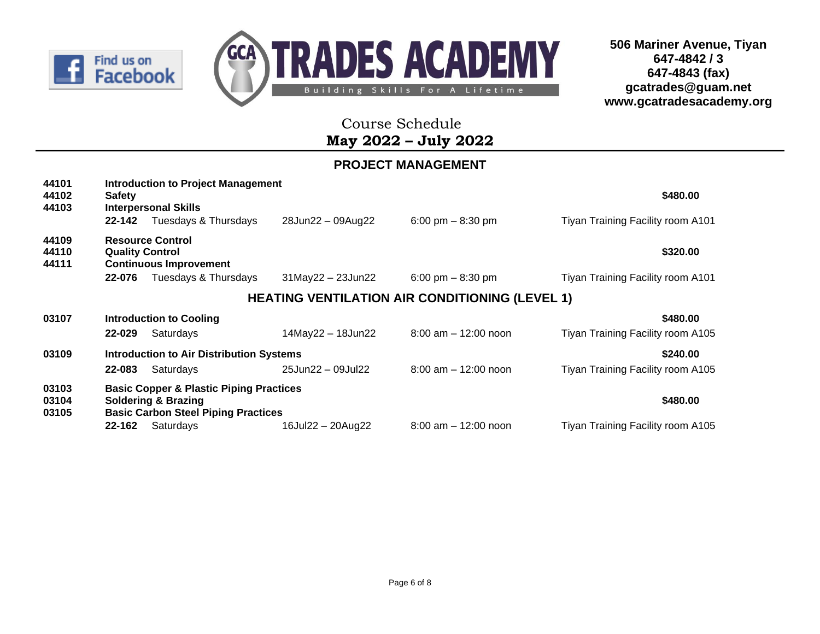



 Course Schedule **May 2022 – July 2022**

### **PROJECT MANAGEMENT**

| 44101<br>44102<br>44103 | <b>Safety</b><br>22-142          | <b>Introduction to Project Management</b><br><b>Interpersonal Skills</b><br>Tuesdays & Thursdays                                   | 28Jun22 - 09Aug22       | 6:00 pm $-$ 8:30 pm                                   | \$480.00<br>Tiyan Training Facility room A101 |
|-------------------------|----------------------------------|------------------------------------------------------------------------------------------------------------------------------------|-------------------------|-------------------------------------------------------|-----------------------------------------------|
| 44109<br>44110<br>44111 | <b>Quality Control</b><br>22-076 | <b>Resource Control</b><br><b>Continuous Improvement</b><br>Tuesdays & Thursdays                                                   | $31$ May22 - 23Jun22    | 6:00 pm $-$ 8:30 pm                                   | \$320.00<br>Tiyan Training Facility room A101 |
|                         |                                  |                                                                                                                                    |                         | <b>HEATING VENTILATION AIR CONDITIONING (LEVEL 1)</b> |                                               |
| 03107                   | 22-029                           | <b>Introduction to Cooling</b><br>Saturdays                                                                                        | $14$ May22 - $18$ Jun22 | $8:00$ am $-12:00$ noon                               | \$480.00<br>Tiyan Training Facility room A105 |
| 03109                   | 22-083                           | <b>Introduction to Air Distribution Systems</b><br>Saturdays                                                                       | 25Jun22 - 09Jul22       | $8:00$ am $-12:00$ noon                               | \$240.00<br>Tiyan Training Facility room A105 |
| 03103<br>03104<br>03105 |                                  | <b>Basic Copper &amp; Plastic Piping Practices</b><br><b>Soldering &amp; Brazing</b><br><b>Basic Carbon Steel Piping Practices</b> |                         |                                                       | \$480.00                                      |
|                         | 22-162                           | Saturdays                                                                                                                          | 16Jul22 - 20Aug22       | $8:00$ am $-12:00$ noon                               | Tiyan Training Facility room A105             |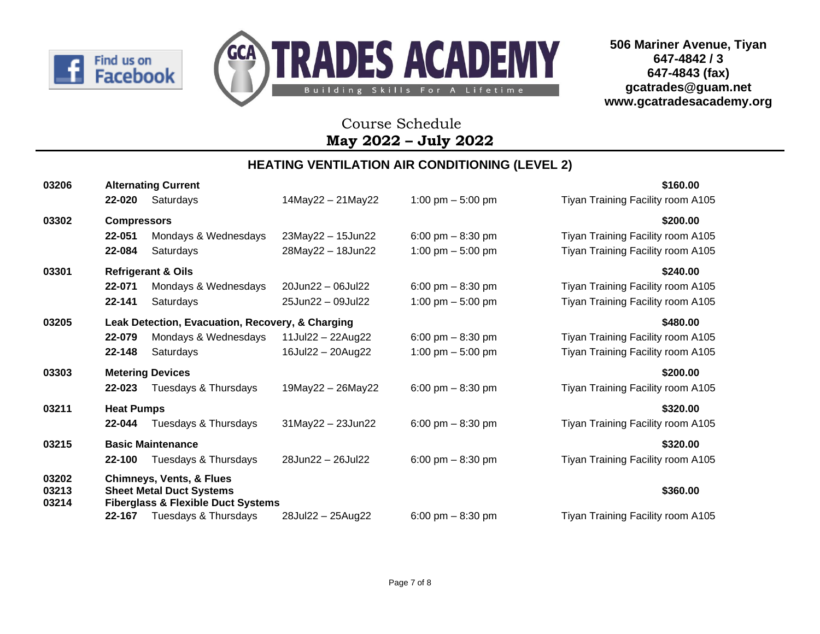



## Course Schedule **May 2022 – July 2022**

#### **HEATING VENTILATION AIR CONDITIONING (LEVEL 2)**

| 03206          |                    | <b>Alternating Current</b>                                                       |                             |                     | \$160.00                          |
|----------------|--------------------|----------------------------------------------------------------------------------|-----------------------------|---------------------|-----------------------------------|
|                | 22-020             | Saturdays                                                                        | 14May22 - 21May22           | 1:00 pm $-$ 5:00 pm | Tiyan Training Facility room A105 |
| 03302          | <b>Compressors</b> |                                                                                  |                             |                     | \$200.00                          |
|                | 22-051             | Mondays & Wednesdays                                                             | 23May22 - 15Jun22           | 6:00 pm $-8:30$ pm  | Tiyan Training Facility room A105 |
|                | 22-084             | Saturdays                                                                        | 28May22 - 18Jun22           | 1:00 pm $-$ 5:00 pm | Tiyan Training Facility room A105 |
| 03301          |                    | <b>Refrigerant &amp; Oils</b>                                                    |                             |                     | \$240.00                          |
|                | 22-071             | Mondays & Wednesdays                                                             | 20Jun22 - 06Jul22           | 6:00 pm $-8:30$ pm  | Tiyan Training Facility room A105 |
|                | 22-141             | Saturdays                                                                        | 25Jun22 - 09Jul22           | 1:00 pm $-$ 5:00 pm | Tiyan Training Facility room A105 |
| 03205          |                    | Leak Detection, Evacuation, Recovery, & Charging                                 |                             |                     | \$480.00                          |
|                | 22-079             | Mondays & Wednesdays                                                             | $11$ Jul $22 - 22$ Aug $22$ | 6:00 pm $-$ 8:30 pm | Tiyan Training Facility room A105 |
|                | 22-148             | Saturdays                                                                        | 16Jul22 - 20Aug22           | 1:00 pm $-$ 5:00 pm | Tiyan Training Facility room A105 |
| 03303          |                    | <b>Metering Devices</b>                                                          |                             |                     | \$200.00                          |
|                | 22-023             | Tuesdays & Thursdays                                                             | 19May22 - 26May22           | 6:00 pm $-$ 8:30 pm | Tiyan Training Facility room A105 |
| 03211          | <b>Heat Pumps</b>  |                                                                                  |                             |                     | \$320.00                          |
|                | 22-044             | Tuesdays & Thursdays                                                             | $31$ May22 - 23Jun22        | 6:00 pm $-$ 8:30 pm | Tiyan Training Facility room A105 |
| 03215          |                    | <b>Basic Maintenance</b>                                                         |                             |                     | \$320.00                          |
|                | 22-100             | Tuesdays & Thursdays                                                             | 28Jun22 - 26Jul22           | 6:00 pm $-$ 8:30 pm | Tiyan Training Facility room A105 |
| 03202          |                    | <b>Chimneys, Vents, &amp; Flues</b>                                              |                             |                     |                                   |
| 03213<br>03214 |                    | <b>Sheet Metal Duct Systems</b><br><b>Fiberglass &amp; Flexible Duct Systems</b> |                             |                     | \$360.00                          |
|                | 22-167             | Tuesdays & Thursdays                                                             | 28Jul22 - 25Aug22           | 6:00 pm $-8:30$ pm  | Tiyan Training Facility room A105 |